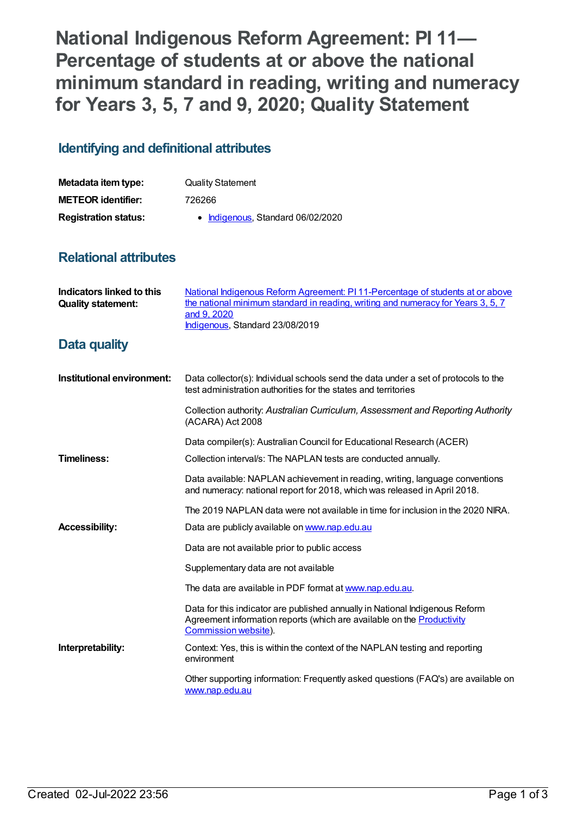**National Indigenous Reform Agreement: PI 11— Percentage of students at or above the national minimum standard in reading, writing and numeracy for Years 3, 5, 7 and 9, 2020; Quality Statement**

## **Identifying and definitional attributes**

| Metadata item type:         | <b>Quality Statement</b>          |
|-----------------------------|-----------------------------------|
| <b>METEOR identifier:</b>   | 726266                            |
| <b>Registration status:</b> | • Indigenous, Standard 06/02/2020 |

## **Relational attributes**

| Indicators linked to this<br><b>Quality statement:</b> | National Indigenous Reform Agreement: PI 11-Percentage of students at or above<br>the national minimum standard in reading, writing and numeracy for Years 3, 5, 7<br>and 9, 2020<br>Indigenous, Standard 23/08/2019 |
|--------------------------------------------------------|----------------------------------------------------------------------------------------------------------------------------------------------------------------------------------------------------------------------|
| Data quality                                           |                                                                                                                                                                                                                      |
| Institutional environment:                             | Data collector(s): Individual schools send the data under a set of protocols to the<br>test administration authorities for the states and territories                                                                |
|                                                        | Collection authority: Australian Curriculum, Assessment and Reporting Authority<br>(ACARA) Act 2008                                                                                                                  |
|                                                        | Data compiler(s): Australian Council for Educational Research (ACER)                                                                                                                                                 |
| <b>Timeliness:</b>                                     | Collection interval/s: The NAPLAN tests are conducted annually.                                                                                                                                                      |
|                                                        | Data available: NAPLAN achievement in reading, writing, language conventions<br>and numeracy: national report for 2018, which was released in April 2018.                                                            |
|                                                        | The 2019 NAPLAN data were not available in time for inclusion in the 2020 NIRA.                                                                                                                                      |
| <b>Accessibility:</b>                                  | Data are publicly available on www.nap.edu.au                                                                                                                                                                        |
|                                                        | Data are not available prior to public access                                                                                                                                                                        |
|                                                        | Supplementary data are not available                                                                                                                                                                                 |
|                                                        | The data are available in PDF format at www.nap.edu.au.                                                                                                                                                              |
|                                                        | Data for this indicator are published annually in National Indigenous Reform<br>Agreement information reports (which are available on the <b>Productivity</b><br>Commission website).                                |
| Interpretability:                                      | Context: Yes, this is within the context of the NAPLAN testing and reporting<br>environment                                                                                                                          |
|                                                        | Other supporting information: Frequently asked questions (FAQ's) are available on<br>www.nap.edu.au                                                                                                                  |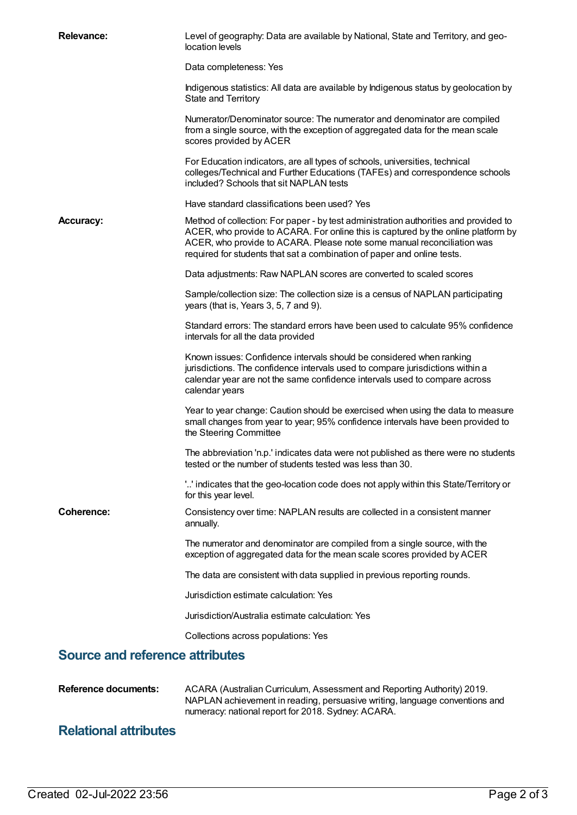| <b>Relevance:</b>                      | Level of geography: Data are available by National, State and Territory, and geo-<br>location levels                                                                                                                                                                                                                           |
|----------------------------------------|--------------------------------------------------------------------------------------------------------------------------------------------------------------------------------------------------------------------------------------------------------------------------------------------------------------------------------|
|                                        | Data completeness: Yes                                                                                                                                                                                                                                                                                                         |
|                                        | Indigenous statistics: All data are available by Indigenous status by geolocation by<br>State and Territory                                                                                                                                                                                                                    |
|                                        | Numerator/Denominator source: The numerator and denominator are compiled<br>from a single source, with the exception of aggregated data for the mean scale<br>scores provided by ACER                                                                                                                                          |
|                                        | For Education indicators, are all types of schools, universities, technical<br>colleges/Technical and Further Educations (TAFEs) and correspondence schools<br>included? Schools that sit NAPLAN tests                                                                                                                         |
|                                        | Have standard classifications been used? Yes                                                                                                                                                                                                                                                                                   |
| <b>Accuracy:</b>                       | Method of collection: For paper - by test administration authorities and provided to<br>ACER, who provide to ACARA. For online this is captured by the online platform by<br>ACER, who provide to ACARA. Please note some manual reconciliation was<br>required for students that sat a combination of paper and online tests. |
|                                        | Data adjustments: Raw NAPLAN scores are converted to scaled scores                                                                                                                                                                                                                                                             |
|                                        | Sample/collection size: The collection size is a census of NAPLAN participating<br>years (that is, Years 3, 5, 7 and 9).                                                                                                                                                                                                       |
|                                        | Standard errors: The standard errors have been used to calculate 95% confidence<br>intervals for all the data provided                                                                                                                                                                                                         |
|                                        | Known issues: Confidence intervals should be considered when ranking<br>jurisdictions. The confidence intervals used to compare jurisdictions within a<br>calendar year are not the same confidence intervals used to compare across<br>calendar years                                                                         |
|                                        | Year to year change: Caution should be exercised when using the data to measure<br>small changes from year to year; 95% confidence intervals have been provided to<br>the Steering Committee                                                                                                                                   |
|                                        | The abbreviation 'n.p.' indicates data were not published as there were no students<br>tested or the number of students tested was less than 30.                                                                                                                                                                               |
|                                        | '' indicates that the geo-location code does not apply within this State/Territory or<br>for this year level.                                                                                                                                                                                                                  |
| Coherence:                             | Consistency over time: NAPLAN results are collected in a consistent manner<br>annually.                                                                                                                                                                                                                                        |
|                                        | The numerator and denominator are compiled from a single source, with the<br>exception of aggregated data for the mean scale scores provided by ACER                                                                                                                                                                           |
|                                        | The data are consistent with data supplied in previous reporting rounds.                                                                                                                                                                                                                                                       |
|                                        | Jurisdiction estimate calculation: Yes                                                                                                                                                                                                                                                                                         |
|                                        | Jurisdiction/Australia estimate calculation: Yes                                                                                                                                                                                                                                                                               |
|                                        | Collections across populations: Yes                                                                                                                                                                                                                                                                                            |
| <b>Source and reference attributes</b> |                                                                                                                                                                                                                                                                                                                                |
| <b>Reference documents:</b>            | ACARA (Australian Curriculum, Assessment and Reporting Authority) 2019.<br>NAPLAN achievement in reading, persuasive writing, language conventions and                                                                                                                                                                         |

numeracy: national report for 2018. Sydney: ACARA.

## **Relational attributes**